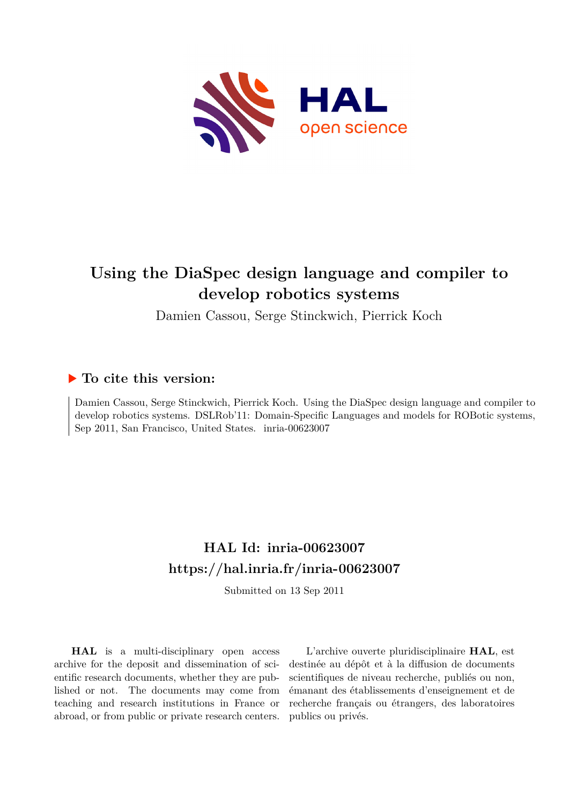

# **Using the DiaSpec design language and compiler to develop robotics systems**

Damien Cassou, Serge Stinckwich, Pierrick Koch

## **To cite this version:**

Damien Cassou, Serge Stinckwich, Pierrick Koch. Using the DiaSpec design language and compiler to develop robotics systems. DSLRob'11: Domain-Specific Languages and models for ROBotic systems, Sep 2011, San Francisco, United States. inria-00623007

## **HAL Id: inria-00623007 <https://hal.inria.fr/inria-00623007>**

Submitted on 13 Sep 2011

**HAL** is a multi-disciplinary open access archive for the deposit and dissemination of scientific research documents, whether they are published or not. The documents may come from teaching and research institutions in France or abroad, or from public or private research centers.

L'archive ouverte pluridisciplinaire **HAL**, est destinée au dépôt et à la diffusion de documents scientifiques de niveau recherche, publiés ou non, émanant des établissements d'enseignement et de recherche français ou étrangers, des laboratoires publics ou privés.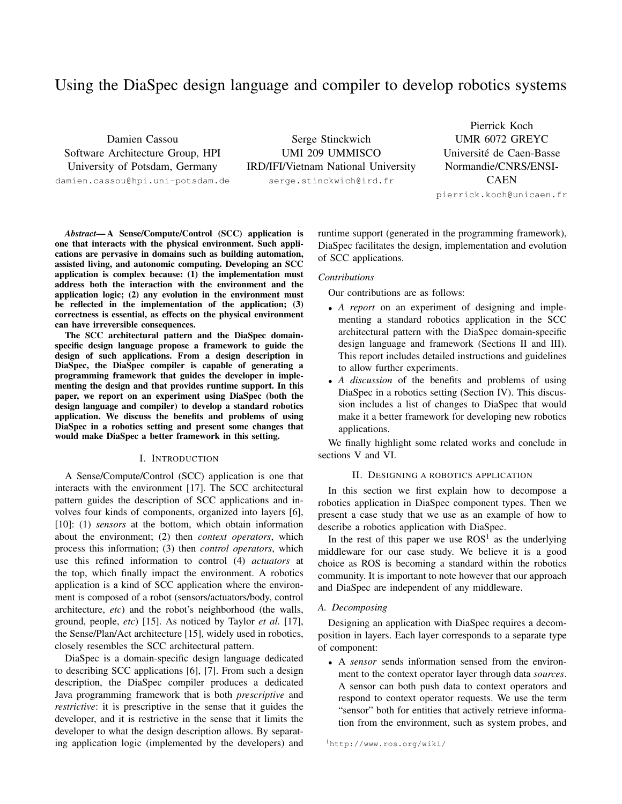### Using the DiaSpec design language and compiler to develop robotics systems

Damien Cassou Software Architecture Group, HPI University of Potsdam, Germany

damien.cassou@hpi.uni-potsdam.de

Serge Stinckwich UMI 209 UMMISCO IRD/IFI/Vietnam National University serge.stinckwich@ird.fr

Pierrick Koch UMR 6072 GREYC Université de Caen-Basse Normandie/CNRS/ENSI-CAEN pierrick.koch@unicaen.fr

*Abstract*— A Sense/Compute/Control (SCC) application is one that interacts with the physical environment. Such applications are pervasive in domains such as building automation, assisted living, and autonomic computing. Developing an SCC application is complex because: (1) the implementation must address both the interaction with the environment and the application logic; (2) any evolution in the environment must be reflected in the implementation of the application; (3) correctness is essential, as effects on the physical environment can have irreversible consequences.

The SCC architectural pattern and the DiaSpec domainspecific design language propose a framework to guide the design of such applications. From a design description in DiaSpec, the DiaSpec compiler is capable of generating a programming framework that guides the developer in implementing the design and that provides runtime support. In this paper, we report on an experiment using DiaSpec (both the design language and compiler) to develop a standard robotics application. We discuss the benefits and problems of using DiaSpec in a robotics setting and present some changes that would make DiaSpec a better framework in this setting.

#### I. INTRODUCTION

A Sense/Compute/Control (SCC) application is one that interacts with the environment [17]. The SCC architectural pattern guides the description of SCC applications and involves four kinds of components, organized into layers [6], [10]: (1) *sensors* at the bottom, which obtain information about the environment; (2) then *context operators*, which process this information; (3) then *control operators*, which use this refined information to control (4) *actuators* at the top, which finally impact the environment. A robotics application is a kind of SCC application where the environment is composed of a robot (sensors/actuators/body, control architecture, *etc*) and the robot's neighborhood (the walls, ground, people, *etc*) [15]. As noticed by Taylor *et al.* [17], the Sense/Plan/Act architecture [15], widely used in robotics, closely resembles the SCC architectural pattern.

DiaSpec is a domain-specific design language dedicated to describing SCC applications [6], [7]. From such a design description, the DiaSpec compiler produces a dedicated Java programming framework that is both *prescriptive* and *restrictive*: it is prescriptive in the sense that it guides the developer, and it is restrictive in the sense that it limits the developer to what the design description allows. By separating application logic (implemented by the developers) and runtime support (generated in the programming framework), DiaSpec facilitates the design, implementation and evolution of SCC applications.

#### *Contributions*

Our contributions are as follows:

- *A report* on an experiment of designing and implementing a standard robotics application in the SCC architectural pattern with the DiaSpec domain-specific design language and framework (Sections [II](#page-1-0) and [III\)](#page-3-0). This report includes detailed instructions and guidelines to allow further experiments.
- *A discussion* of the benefits and problems of using DiaSpec in a robotics setting (Section [IV\)](#page-5-0). This discussion includes a list of changes to DiaSpec that would make it a better framework for developing new robotics applications.

We finally highlight some related works and conclude in sections [V](#page-6-0) and [VI.](#page-7-0)

#### II. DESIGNING A ROBOTICS APPLICATION

<span id="page-1-0"></span>In this section we first explain how to decompose a robotics application in DiaSpec component types. Then we present a case study that we use as an example of how to describe a robotics application with DiaSpec.

In the rest of this paper we use  $ROS<sup>1</sup>$  $ROS<sup>1</sup>$  $ROS<sup>1</sup>$  as the underlying middleware for our case study. We believe it is a good choice as ROS is becoming a standard within the robotics community. It is important to note however that our approach and DiaSpec are independent of any middleware.

#### *A. Decomposing*

Designing an application with DiaSpec requires a decomposition in layers. Each layer corresponds to a separate type of component:

• A *sensor* sends information sensed from the environment to the context operator layer through data *sources*. A sensor can both push data to context operators and respond to context operator requests. We use the term "sensor" both for entities that actively retrieve information from the environment, such as system probes, and

<span id="page-1-1"></span><sup>1</sup><http://www.ros.org/wiki/>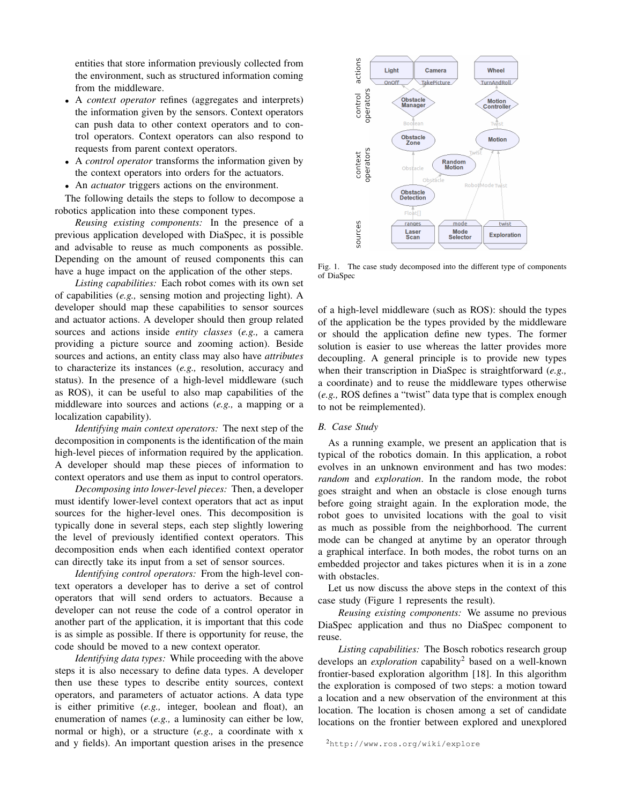entities that store information previously collected from the environment, such as structured information coming from the middleware.

- A *context operator* refines (aggregates and interprets) the information given by the sensors. Context operators can push data to other context operators and to control operators. Context operators can also respond to requests from parent context operators.
- A *control operator* transforms the information given by the context operators into orders for the actuators.
- An *actuator* triggers actions on the environment.

The following details the steps to follow to decompose a robotics application into these component types.

*Reusing existing components:* In the presence of a previous application developed with DiaSpec, it is possible and advisable to reuse as much components as possible. Depending on the amount of reused components this can have a huge impact on the application of the other steps.

*Listing capabilities:* Each robot comes with its own set of capabilities (*e.g.,* sensing motion and projecting light). A developer should map these capabilities to sensor sources and actuator actions. A developer should then group related sources and actions inside *entity classes* (*e.g.,* a camera providing a picture source and zooming action). Beside sources and actions, an entity class may also have *attributes* to characterize its instances (*e.g.,* resolution, accuracy and status). In the presence of a high-level middleware (such as ROS), it can be useful to also map capabilities of the middleware into sources and actions (*e.g.,* a mapping or a localization capability).

*Identifying main context operators:* The next step of the decomposition in components is the identification of the main high-level pieces of information required by the application. A developer should map these pieces of information to context operators and use them as input to control operators.

*Decomposing into lower-level pieces:* Then, a developer must identify lower-level context operators that act as input sources for the higher-level ones. This decomposition is typically done in several steps, each step slightly lowering the level of previously identified context operators. This decomposition ends when each identified context operator can directly take its input from a set of sensor sources.

*Identifying control operators:* From the high-level context operators a developer has to derive a set of control operators that will send orders to actuators. Because a developer can not reuse the code of a control operator in another part of the application, it is important that this code is as simple as possible. If there is opportunity for reuse, the code should be moved to a new context operator.

*Identifying data types:* While proceeding with the above steps it is also necessary to define data types. A developer then use these types to describe entity sources, context operators, and parameters of actuator actions. A data type is either primitive (*e.g.,* integer, boolean and float), an enumeration of names (*e.g.,* a luminosity can either be low, normal or high), or a structure (*e.g.,* a coordinate with x and y fields). An important question arises in the presence



<span id="page-2-0"></span>Fig. 1. The case study decomposed into the different type of components of DiaSpec

of a high-level middleware (such as ROS): should the types of the application be the types provided by the middleware or should the application define new types. The former solution is easier to use whereas the latter provides more decoupling. A general principle is to provide new types when their transcription in DiaSpec is straightforward (*e.g.,* a coordinate) and to reuse the middleware types otherwise (*e.g.,* ROS defines a "twist" data type that is complex enough to not be reimplemented).

#### *B. Case Study*

As a running example, we present an application that is typical of the robotics domain. In this application, a robot evolves in an unknown environment and has two modes: *random* and *exploration*. In the random mode, the robot goes straight and when an obstacle is close enough turns before going straight again. In the exploration mode, the robot goes to unvisited locations with the goal to visit as much as possible from the neighborhood. The current mode can be changed at anytime by an operator through a graphical interface. In both modes, the robot turns on an embedded projector and takes pictures when it is in a zone with obstacles.

Let us now discuss the above steps in the context of this case study (Figure [1](#page-2-0) represents the result).

*Reusing existing components:* We assume no previous DiaSpec application and thus no DiaSpec component to reuse.

*Listing capabilities:* The Bosch robotics research group develops an *exploration* capability[2](#page-2-1) based on a well-known frontier-based exploration algorithm [18]. In this algorithm the exploration is composed of two steps: a motion toward a location and a new observation of the environment at this location. The location is chosen among a set of candidate locations on the frontier between explored and unexplored

```
2http://www.ros.org/wiki/explore
```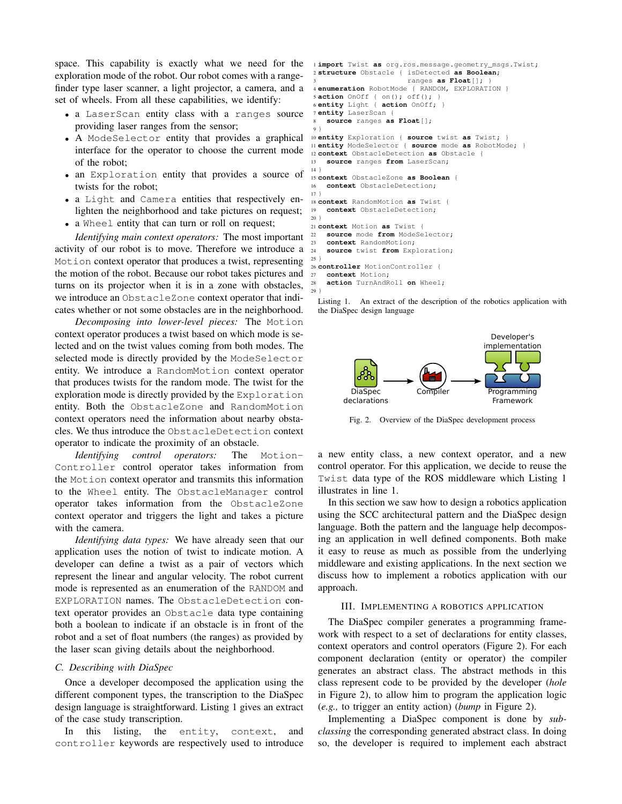space. This capability is exactly what we need for the exploration mode of the robot. Our robot comes with a rangefinder type laser scanner, a light projector, a camera, and a set of wheels. From all these capabilities, we identify:

- a LaserScan entity class with a ranges source providing laser ranges from the sensor;
- A ModeSelector entity that provides a graphical interface for the operator to choose the current mode of the robot;
- an Exploration entity that provides a source of twists for the robot;
- a Light and Camera entities that respectively enlighten the neighborhood and take pictures on request;
- a Wheel entity that can turn or roll on request;

*Identifying main context operators:* The most important activity of our robot is to move. Therefore we introduce a Motion context operator that produces a twist, representing the motion of the robot. Because our robot takes pictures and turns on its projector when it is in a zone with obstacles, we introduce an ObstacleZone context operator that indicates whether or not some obstacles are in the neighborhood.

*Decomposing into lower-level pieces:* The Motion context operator produces a twist based on which mode is selected and on the twist values coming from both modes. The selected mode is directly provided by the ModeSelector entity. We introduce a RandomMotion context operator that produces twists for the random mode. The twist for the exploration mode is directly provided by the Exploration entity. Both the ObstacleZone and RandomMotion context operators need the information about nearby obstacles. We thus introduce the ObstacleDetection context operator to indicate the proximity of an obstacle.

*Identifying control operators:* The Motion-Controller control operator takes information from the Motion context operator and transmits this information to the Wheel entity. The ObstacleManager control operator takes information from the ObstacleZone context operator and triggers the light and takes a picture with the camera.

*Identifying data types:* We have already seen that our application uses the notion of twist to indicate motion. A developer can define a twist as a pair of vectors which represent the linear and angular velocity. The robot current mode is represented as an enumeration of the RANDOM and EXPLORATION names. The ObstacleDetection context operator provides an Obstacle data type containing both a boolean to indicate if an obstacle is in front of the robot and a set of float numbers (the ranges) as provided by the laser scan giving details about the neighborhood.

#### *C. Describing with DiaSpec*

Once a developer decomposed the application using the different component types, the transcription to the DiaSpec design language is straightforward. Listing [1](#page-3-1) gives an extract of the case study transcription.

In this listing, the entity, context, and controller keywords are respectively used to introduce

```
1 import Twist as org.ros.message.geometry_msgs.Twist;
 2 structure Obstacle { isDetected as Boolean;
                        3 ranges as Float[]; }
4 enumeration RobotMode { RANDOM, EXPLORATION }
 5 action OnOff { on(); off(); }
 6 entity Light { action OnOff; }
7 entity LaserScan {
   8 source ranges as Float[];
 9 }
10 entity Exploration { source twist as Twist; }
11 entity ModeSelector { source mode as RobotMode; }
12 context ObstacleDetection as Obstacle {
13 source ranges from LaserScan;
14 }
15 context ObstacleZone as Boolean {
16 context ObstacleDetection;
17 }
18 context RandomMotion as Twist {
19 context ObstacleDetection;
20 }
21 context Motion as Twist {
22 source mode from ModeSelector;
23 context RandomMotion;
24 source twist from Exploration;
25 }
26 controller MotionController {
27 context Motion;
```
Listing 1. An extract of the description of the robotics application with the DiaSpec design language

<span id="page-3-4"></span><sup>28</sup> **action** TurnAndRoll **on** Wheel;

29 }



<span id="page-3-3"></span>Fig. 2. Overview of the DiaSpec development process

a new entity class, a new context operator, and a new control operator. For this application, we decide to reuse the Twist data type of the ROS middleware which Listing [1](#page-3-1) illustrates in line [1.](#page-3-2)

In this section we saw how to design a robotics application using the SCC architectural pattern and the DiaSpec design language. Both the pattern and the language help decomposing an application in well defined components. Both make it easy to reuse as much as possible from the underlying middleware and existing applications. In the next section we discuss how to implement a robotics application with our approach.

#### III. IMPLEMENTING A ROBOTICS APPLICATION

<span id="page-3-0"></span>The DiaSpec compiler generates a programming framework with respect to a set of declarations for entity classes, context operators and control operators (Figure [2\)](#page-3-3). For each component declaration (entity or operator) the compiler generates an abstract class. The abstract methods in this class represent code to be provided by the developer (*hole* in Figure [2\)](#page-3-3), to allow him to program the application logic (*e.g.,* to trigger an entity action) (*bump* in Figure [2\)](#page-3-3).

Implementing a DiaSpec component is done by *subclassing* the corresponding generated abstract class. In doing so, the developer is required to implement each abstract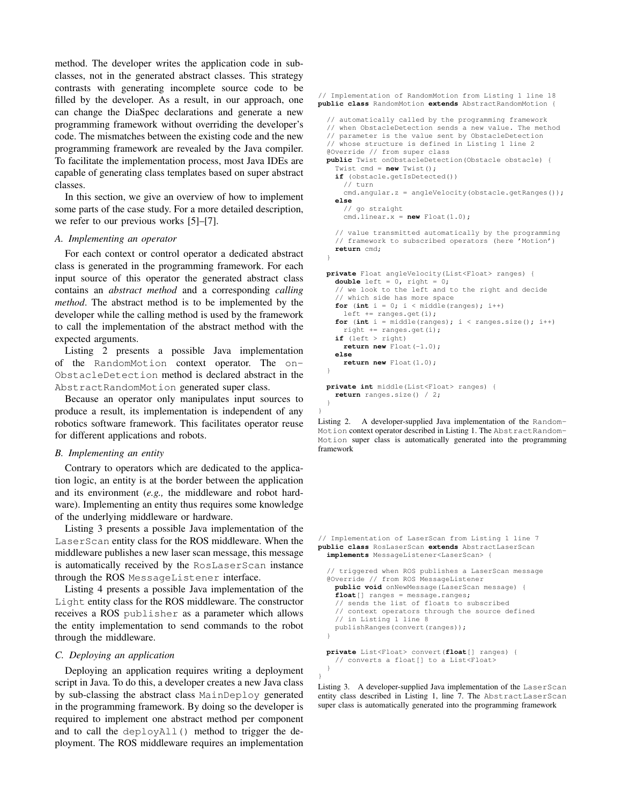method. The developer writes the application code in subclasses, not in the generated abstract classes. This strategy contrasts with generating incomplete source code to be filled by the developer. As a result, in our approach, one can change the DiaSpec declarations and generate a new programming framework without overriding the developer's code. The mismatches between the existing code and the new programming framework are revealed by the Java compiler. To facilitate the implementation process, most Java IDEs are capable of generating class templates based on super abstract classes.

In this section, we give an overview of how to implement some parts of the case study. For a more detailed description, we refer to our previous works [5]–[7].

#### *A. Implementing an operator*

For each context or control operator a dedicated abstract class is generated in the programming framework. For each input source of this operator the generated abstract class contains an *abstract method* and a corresponding *calling method*. The abstract method is to be implemented by the developer while the calling method is used by the framework to call the implementation of the abstract method with the expected arguments.

Listing [2](#page-4-0) presents a possible Java implementation of the RandomMotion context operator. The on-ObstacleDetection method is declared abstract in the AbstractRandomMotion generated super class.

Because an operator only manipulates input sources to produce a result, its implementation is independent of any robotics software framework. This facilitates operator reuse for different applications and robots.

#### *B. Implementing an entity*

Contrary to operators which are dedicated to the application logic, an entity is at the border between the application and its environment (*e.g.,* the middleware and robot hardware). Implementing an entity thus requires some knowledge of the underlying middleware or hardware.

Listing [3](#page-4-1) presents a possible Java implementation of the LaserScan entity class for the ROS middleware. When the middleware publishes a new laser scan message, this message is automatically received by the RosLaserScan instance through the ROS MessageListener interface.

Listing [4](#page-5-1) presents a possible Java implementation of the Light entity class for the ROS middleware. The constructor receives a ROS publisher as a parameter which allows the entity implementation to send commands to the robot through the middleware.

#### *C. Deploying an application*

Deploying an application requires writing a deployment script in Java. To do this, a developer creates a new Java class by sub-classing the abstract class MainDeploy generated in the programming framework. By doing so the developer is required to implement one abstract method per component and to call the deployAll() method to trigger the deployment. The ROS middleware requires an implementation

<span id="page-4-0"></span>// Implementation of RandomMotion from Listing [1](#page-3-1) line [18](#page-3-4) **public class** RandomMotion **extends** AbstractRandomMotion { // automatically called by the programming framework // when ObstacleDetection sends a new value. The method // parameter is the value sent by ObstacleDetection // whose structure is defined in Listing [1](#page-3-1) line [2](#page-3-5) @Override // from super class **public** Twist onObstacleDetection(Obstacle obstacle) { Twist cmd = **new** Twist(); **if** (obstacle.getIsDetected()) // turn cmd.angular.z = angleVelocity(obstacle.getRanges()); **else** // go straight cmd.linear.x = **new** Float(1.0); // value transmitted automatically by the programming // framework to subscribed operators (here 'Motion') **return** cmd; } **private** Float angleVelocity(List<Float> ranges) { **double** left = 0, right = 0; // we look to the left and to the right and decide // which side has more space **for** (int  $i = 0$ ;  $i <$  middle(ranges);  $i++)$ left += ranges.get(i); **for** (int  $i = middle(range)$ ;  $i < ranges.size()$ ;  $i++)$ right  $+=$  ranges.get(i); **if** (left > right) **return new** Float(-1.0); **else return new** Float(1.0); }

**private int** middle(List<Float> ranges) { **return** ranges.size() / 2; }

}

}

Listing 2. A developer-supplied Java implementation of the Random-Motion context operator described in Listing [1.](#page-3-1) The AbstractRandom-Motion super class is automatically generated into the programming framework

<span id="page-4-1"></span>// Implementation of LaserScan from Listing [1](#page-3-1) line [7](#page-3-6) **public class** RosLaserScan **extends** AbstractLaserScan **implements** MessageListener<LaserScan> {

```
// triggered when ROS publishes a LaserScan message
@Override // from ROS MessageListener
 public void onNewMessage(LaserScan message) {
  float[] ranges = message.ranges;
  // sends the list of floats to subscribed
  // context operators through the source defined
  // in Listing 1 line 8
  publishRanges(convert(ranges));
}
private List<Float> convert(float[] ranges) {
  // converts a float[] to a List<Float>
}
```
Listing 3. A developer-supplied Java implementation of the LaserScan entity class described in Listing [1,](#page-3-1) line [7.](#page-3-6) The AbstractLaserScan super class is automatically generated into the programming framework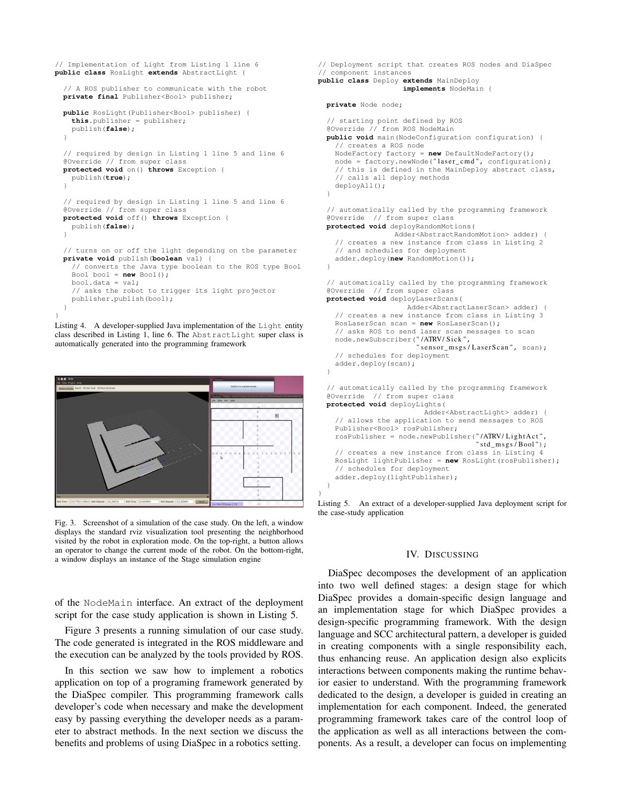```
public class RosLight extends AbstractLight {
  // A ROS publisher to communicate with the robot
  private final Publisher<Bool> publisher;
  public RosLight(Publisher<Bool> publisher) {
    this.publisher = publisher;
    publish(false);
  }
  // required by design in Listing 1 line 5 and line 6
  @Override // from super class
  protected void on() throws Exception {
    publish(true);
  }
  // required by design in Listing 1 line 5 and line 6
  @Override // from super class
  protected void off() throws Exception {
    publish(false);
  }
  // turns on or off the light depending on the parameter
  private void publish(boolean val) {
    // converts the Java type boolean to the ROS type Bool
    Bool bool = new Bool();
    bool.data = val;
    // asks the robot to trigger its light projector
    publisher.publish(bool);
  }
}
```
<span id="page-5-1"></span>// Implementation of Light from Listing [1](#page-3-1) line [6](#page-3-8)

Listing 4. A developer-supplied Java implementation of the Light entity class described in Listing [1,](#page-3-1) line [6.](#page-3-8) The AbstractLight super class is automatically generated into the programming framework



<span id="page-5-3"></span>Fig. 3. Screenshot of a simulation of the case study. On the left, a window displays the standard rviz visualization tool presenting the neighborhood visited by the robot in exploration mode. On the top-right, a button allows an operator to change the current mode of the robot. On the bottom-right, a window displays an instance of the Stage simulation engine

of the NodeMain interface. An extract of the deployment script for the case study application is shown in Listing [5.](#page-5-2)

Figure [3](#page-5-3) presents a running simulation of our case study. The code generated is integrated in the ROS middleware and the execution can be analyzed by the tools provided by ROS.

In this section we saw how to implement a robotics application on top of a programing framework generated by the DiaSpec compiler. This programming framework calls developer's code when necessary and make the development easy by passing everything the developer needs as a parameter to abstract methods. In the next section we discuss the benefits and problems of using DiaSpec in a robotics setting.

```
// Deployment script that creates ROS nodes and DiaSpec
// component instances
public class Deploy extends MainDeploy
                      implements NodeMain {
  private Node node;
  // starting point defined by ROS
@Override // from ROS NodeMain
  public void main(NodeConfiguration configuration) {
    // creates a ROS node
    NodeFactory factory = new DefaultNodeFactory();
    node = \frac{1}{100} \times . . . . node = factory.newNode("laser_cmd", configuration);
    // this is defined in the MainDeploy abstract class,
    // calls all deploy methods
    deployAll();
  \mathbf{I}// automatically called by the programming framework
  @Override // from super class
  protected void deployRandomMotions(
                  Adder<AbstractRandomMotion> adder) {
    // creates a new instance from class in Listing 2
    // and schedules for deployment
    adder.deploy(new RandomMotion());
  }
  // automatically called by the programming framework
  @Override // from super class
  protected void deployLaserScans(
                      Adder<AbstractLaserScan> adder) {
    // creates a new instance from class in Listing 3
    RosLaserScan scan = new RosLaserScan();
    // asks ROS to send laser scan messages to scan
     node.newSubscriber("/ATRV/Sick",<br>"sensor_msgs/LaserScan", scan);
    // schedules for deployment
    adder.deploy(scan);
  }
  // automatically called by the programming framework
  @Override // from super class
  protected void deployLights(
                           Adder<AbstractLight> adder) {
    // allows the application to send messages to ROS
    Publisher<Bool> rosPublisher;
    rosPublisher = node.newPublisher("/ATRV/LightAct",
                                        " std \text{msg } s / \text{Bool}");
    // creates a new instance from class in Listing 4
    RosLight lightPublisher = new RosLight(rosPublisher);
    // schedules for deployment
    adder.deploy(lightPublisher);
```
Listing 5. An extract of a developer-supplied Java deployment script for the case-study application

} }

#### IV. DISCUSSING

<span id="page-5-0"></span>DiaSpec decomposes the development of an application into two well defined stages: a design stage for which DiaSpec provides a domain-specific design language and an implementation stage for which DiaSpec provides a design-specific programming framework. With the design language and SCC architectural pattern, a developer is guided in creating components with a single responsibility each, thus enhancing reuse. An application design also explicits interactions between components making the runtime behavior easier to understand. With the programming framework dedicated to the design, a developer is guided in creating an implementation for each component. Indeed, the generated programming framework takes care of the control loop of the application as well as all interactions between the components. As a result, a developer can focus on implementing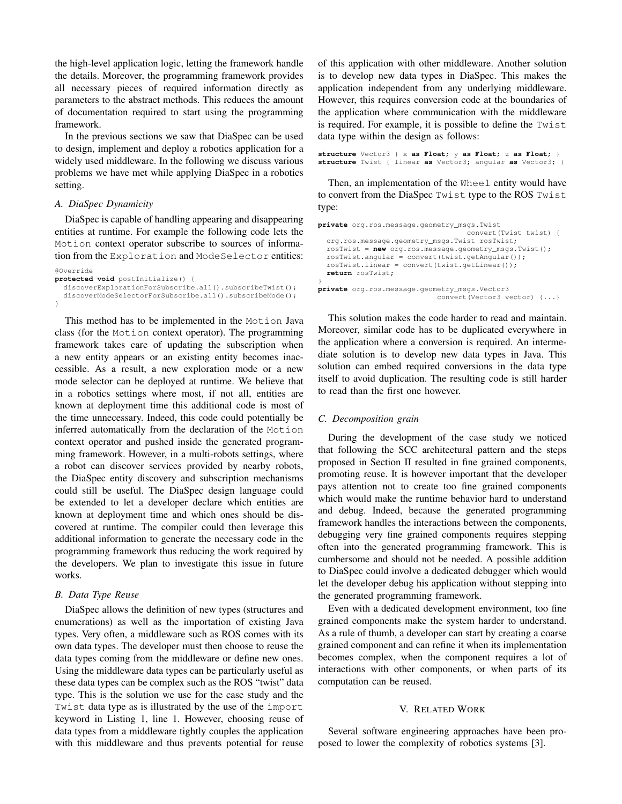the high-level application logic, letting the framework handle the details. Moreover, the programming framework provides all necessary pieces of required information directly as parameters to the abstract methods. This reduces the amount of documentation required to start using the programming framework.

In the previous sections we saw that DiaSpec can be used to design, implement and deploy a robotics application for a widely used middleware. In the following we discuss various problems we have met while applying DiaSpec in a robotics setting.

#### *A. DiaSpec Dynamicity*

DiaSpec is capable of handling appearing and disappearing entities at runtime. For example the following code lets the Motion context operator subscribe to sources of information from the Exploration and ModeSelector entities:

```
@Override
protected void postInitialize() {
  discoverExplorationForSubscribe.all().subscribeTwist();
  discoverModeSelectorForSubscribe.all().subscribeMode();
}
```
This method has to be implemented in the Motion Java class (for the Motion context operator). The programming framework takes care of updating the subscription when a new entity appears or an existing entity becomes inaccessible. As a result, a new exploration mode or a new mode selector can be deployed at runtime. We believe that in a robotics settings where most, if not all, entities are known at deployment time this additional code is most of the time unnecessary. Indeed, this code could potentially be inferred automatically from the declaration of the Motion context operator and pushed inside the generated programming framework. However, in a multi-robots settings, where a robot can discover services provided by nearby robots, the DiaSpec entity discovery and subscription mechanisms could still be useful. The DiaSpec design language could be extended to let a developer declare which entities are known at deployment time and which ones should be discovered at runtime. The compiler could then leverage this additional information to generate the necessary code in the programming framework thus reducing the work required by the developers. We plan to investigate this issue in future works.

#### *B. Data Type Reuse*

DiaSpec allows the definition of new types (structures and enumerations) as well as the importation of existing Java types. Very often, a middleware such as ROS comes with its own data types. The developer must then choose to reuse the data types coming from the middleware or define new ones. Using the middleware data types can be particularly useful as these data types can be complex such as the ROS "twist" data type. This is the solution we use for the case study and the Twist data type as is illustrated by the use of the import keyword in Listing [1,](#page-3-1) line [1.](#page-3-2) However, choosing reuse of data types from a middleware tightly couples the application with this middleware and thus prevents potential for reuse of this application with other middleware. Another solution is to develop new data types in DiaSpec. This makes the application independent from any underlying middleware. However, this requires conversion code at the boundaries of the application where communication with the middleware is required. For example, it is possible to define the Twist data type within the design as follows:

```
structure Vector3 { x as Float; y as Float; z as Float; }
structure Twist { linear as Vector3; angular as Vector3; }
```
Then, an implementation of the Wheel entity would have to convert from the DiaSpec Twist type to the ROS Twist type:

```
private org.ros.message.geometry_msgs.Twist
                                   convert(Twist twist) {
  org.ros.message.geometry_msgs.Twist rosTwist;
  rosTwist = new org.ros.message.geometry_msgs.Twist();
  rosTwist.angular = convert(twist.getAngular());
  rosTwist.linear = convert(twist.getLinear());
  return rosTwist;
}
private org.ros.message.geometry_msgs.Vector3
                            convert(Vector3 vector) {...}
```
This solution makes the code harder to read and maintain. Moreover, similar code has to be duplicated everywhere in the application where a conversion is required. An intermediate solution is to develop new data types in Java. This solution can embed required conversions in the data type itself to avoid duplication. The resulting code is still harder to read than the first one however.

#### *C. Decomposition grain*

During the development of the case study we noticed that following the SCC architectural pattern and the steps proposed in Section [II](#page-1-0) resulted in fine grained components, promoting reuse. It is however important that the developer pays attention not to create too fine grained components which would make the runtime behavior hard to understand and debug. Indeed, because the generated programming framework handles the interactions between the components, debugging very fine grained components requires stepping often into the generated programming framework. This is cumbersome and should not be needed. A possible addition to DiaSpec could involve a dedicated debugger which would let the developer debug his application without stepping into the generated programming framework.

Even with a dedicated development environment, too fine grained components make the system harder to understand. As a rule of thumb, a developer can start by creating a coarse grained component and can refine it when its implementation becomes complex, when the component requires a lot of interactions with other components, or when parts of its computation can be reused.

#### V. RELATED WORK

<span id="page-6-0"></span>Several software engineering approaches have been proposed to lower the complexity of robotics systems [3].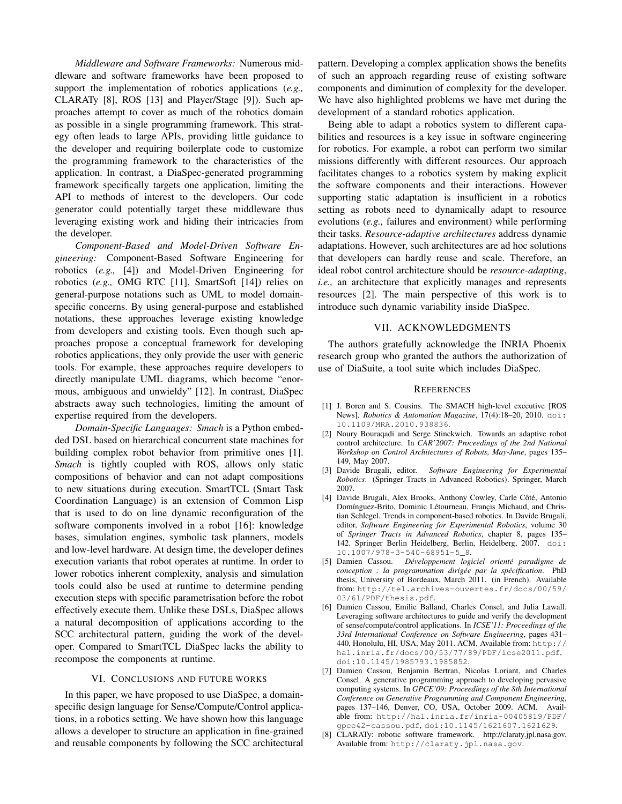*Middleware and Software Frameworks:* Numerous middleware and software frameworks have been proposed to support the implementation of robotics applications (*e.g.,* CLARATy [8], ROS [13] and Player/Stage [9]). Such approaches attempt to cover as much of the robotics domain as possible in a single programming framework. This strategy often leads to large APIs, providing little guidance to the developer and requiring boilerplate code to customize the programming framework to the characteristics of the application. In contrast, a DiaSpec-generated programming framework specifically targets one application, limiting the API to methods of interest to the developers. Our code generator could potentially target these middleware thus leveraging existing work and hiding their intricacies from the developer.

*Component-Based and Model-Driven Software Engineering:* Component-Based Software Engineering for robotics (*e.g.,* [4]) and Model-Driven Engineering for robotics (*e.g.,* OMG RTC [11], SmartSoft [14]) relies on general-purpose notations such as UML to model domainspecific concerns. By using general-purpose and established notations, these approaches leverage existing knowledge from developers and existing tools. Even though such approaches propose a conceptual framework for developing robotics applications, they only provide the user with generic tools. For example, these approaches require developers to directly manipulate UML diagrams, which become "enormous, ambiguous and unwieldy" [12]. In contrast, DiaSpec abstracts away such technologies, limiting the amount of expertise required from the developers.

*Domain-Specific Languages: Smach* is a Python embedded DSL based on hierarchical concurrent state machines for building complex robot behavior from primitive ones [1]. *Smach* is tightly coupled with ROS, allows only static compositions of behavior and can not adapt compositions to new situations during execution. SmartTCL (Smart Task Coordination Language) is an extension of Common Lisp that is used to do on line dynamic reconfiguration of the software components involved in a robot [16]: knowledge bases, simulation engines, symbolic task planners, models and low-level hardware. At design time, the developer defines execution variants that robot operates at runtime. In order to lower robotics inherent complexity, analysis and simulation tools could also be used at runtime to determine pending execution steps with specific parametrisation before the robot effectively execute them. Unlike these DSLs, DiaSpec allows a natural decomposition of applications according to the SCC architectural pattern, guiding the work of the developer. Compared to SmartTCL DiaSpec lacks the ability to recompose the components at runtime.

#### VI. CONCLUSIONS AND FUTURE WORKS

<span id="page-7-0"></span>In this paper, we have proposed to use DiaSpec, a domainspecific design language for Sense/Compute/Control applications, in a robotics setting. We have shown how this language allows a developer to structure an application in fine-grained and reusable components by following the SCC architectural pattern. Developing a complex application shows the benefits of such an approach regarding reuse of existing software components and diminution of complexity for the developer. We have also highlighted problems we have met during the development of a standard robotics application.

Being able to adapt a robotics system to different capabilities and resources is a key issue in software engineering for robotics. For example, a robot can perform two similar missions differently with different resources. Our approach facilitates changes to a robotics system by making explicit the software components and their interactions. However supporting static adaptation is insufficient in a robotics setting as robots need to dynamically adapt to resource evolutions (*e.g.,* failures and environment) while performing their tasks. *Resource-adaptive architectures* address dynamic adaptations. However, such architectures are ad hoc solutions that developers can hardly reuse and scale. Therefore, an ideal robot control architecture should be *resource-adapting*, *i.e.,* an architecture that explicitly manages and represents resources [2]. The main perspective of this work is to introduce such dynamic variability inside DiaSpec.

#### VII. ACKNOWLEDGMENTS

The authors gratefully acknowledge the INRIA Phoenix research group who granted the authors the authorization of use of DiaSuite, a tool suite which includes DiaSpec.

#### **REFERENCES**

- [1] J. Boren and S. Cousins. The SMACH high-level executive [ROS News]. *Robotics & Automation Magazine*, 17(4):18–20, 2010. [doi:](http://dx.doi.org/10.1109/MRA.2010.938836) [10.1109/MRA.2010.938836](http://dx.doi.org/10.1109/MRA.2010.938836).
- [2] Noury Bouraqadi and Serge Stinckwich. Towards an adaptive robot control architecture. In *CAR'2007: Proceedings of the 2nd National Workshop on Control Architectures of Robots, May-June*, pages 135– 149, May 2007.
- [3] Davide Brugali, editor. *Software Engineering for Experimental Robotics*. (Springer Tracts in Advanced Robotics). Springer, March 2007.
- [4] Davide Brugali, Alex Brooks, Anthony Cowley, Carle Côté, Antonio Domínguez-Brito, Dominic Létourneau, Françis Michaud, and Christian Schlegel. Trends in component-based robotics. In Davide Brugali, editor, *Software Engineering for Experimental Robotics*, volume 30 of *Springer Tracts in Advanced Robotics*, chapter 8, pages 135– 142. Springer Berlin Heidelberg, Berlin, Heidelberg, 2007. [doi:](http://dx.doi.org/10.1007/978-3-540-68951-5_8) [10.1007/978-3-540-68951-5\\_8](http://dx.doi.org/10.1007/978-3-540-68951-5_8).
- [5] Damien Cassou. *Développement logiciel orienté paradigme de conception : la programmation dirigée par la spécification*. PhD thesis, University of Bordeaux, March 2011. (in French). Available from: [http://tel.archives-ouvertes.fr/docs/00/59/](http://tel.archives-ouvertes.fr/docs/00/59/03/61/PDF/thesis.pdf) [03/61/PDF/thesis.pdf](http://tel.archives-ouvertes.fr/docs/00/59/03/61/PDF/thesis.pdf).
- [6] Damien Cassou, Emilie Balland, Charles Consel, and Julia Lawall. Leveraging software architectures to guide and verify the development of sense/compute/control applications. In *ICSE'11: Proceedings of the 33rd International Conference on Software Engineering*, pages 431– 440, Honolulu, HI, USA, May 2011. ACM. Available from: [http://](http://hal.inria.fr/docs/00/53/77/89/PDF/icse2011.pdf) [hal.inria.fr/docs/00/53/77/89/PDF/icse2011.pdf](http://hal.inria.fr/docs/00/53/77/89/PDF/icse2011.pdf), [doi:10.1145/1985793.1985852](http://dx.doi.org/10.1145/1985793.1985852).
- [7] Damien Cassou, Benjamin Bertran, Nicolas Loriant, and Charles Consel. A generative programming approach to developing pervasive computing systems. In *GPCE'09: Proceedings of the 8th International Conference on Generative Programming and Component Engineering*, pages 137–146, Denver, CO, USA, October 2009. ACM. Available from: [http://hal.inria.fr/inria-00405819/PDF/](http://hal.inria.fr/inria-00405819/PDF/gpce42-cassou.pdf) [gpce42-cassou.pdf](http://hal.inria.fr/inria-00405819/PDF/gpce42-cassou.pdf), [doi:10.1145/1621607.1621629](http://dx.doi.org/10.1145/1621607.1621629).
- [8] CLARATy: robotic software framework. http://claraty.jpl.nasa.gov. Available from: <http://claraty.jpl.nasa.gov>.